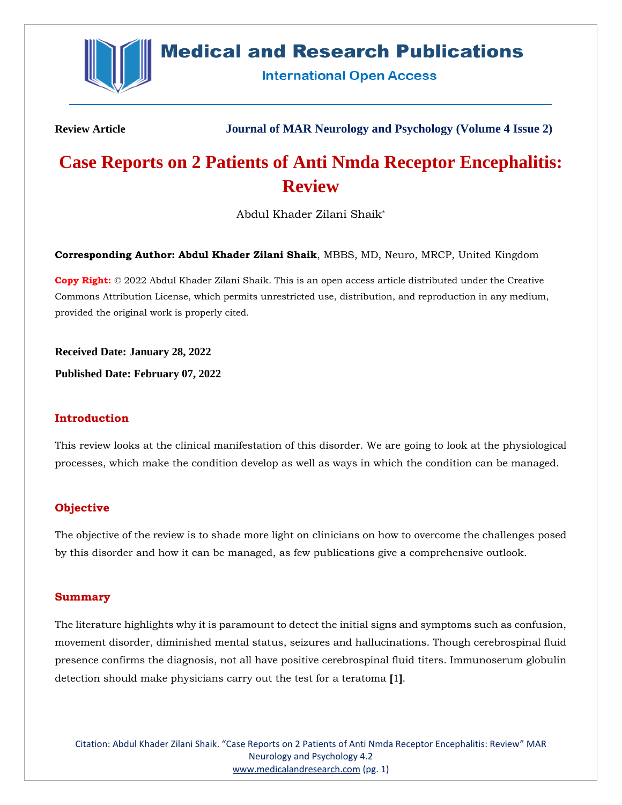

# **Medical and Research Publications**

**International Open Access** 

**Review Article Journal of MAR Neurology and Psychology (Volume 4 Issue 2)**

# **Case Reports on 2 Patients of Anti Nmda Receptor Encephalitis: Review**

Abdul Khader Zilani Shaik\*

**Corresponding Author: Abdul Khader Zilani Shaik**, MBBS, MD, Neuro, MRCP, United Kingdom

**Copy Right:** © 2022 Abdul Khader Zilani Shaik. This is an open access article distributed under the Creative Commons Attribution License, which permits unrestricted use, distribution, and reproduction in any medium, provided the original work is properly cited.

**Received Date: January 28, 2022**

**Published Date: February 07, 2022**

## **Introduction**

This review looks at the clinical manifestation of this disorder. We are going to look at the physiological processes, which make the condition develop as well as ways in which the condition can be managed.

## **Objective**

The objective of the review is to shade more light on clinicians on how to overcome the challenges posed by this disorder and how it can be managed, as few publications give a comprehensive outlook.

#### **Summary**

The literature highlights why it is paramount to detect the initial signs and symptoms such as confusion, movement disorder, diminished mental status, seizures and hallucinations. Though cerebrospinal fluid presence confirms the diagnosis, not all have positive cerebrospinal fluid titers. Immunoserum globulin detection should make physicians carry out the test for a teratoma **[**1**]**.

Citation: Abdul Khader Zilani Shaik. "Case Reports on 2 Patients of Anti Nmda Receptor Encephalitis: Review" MAR Neurology and Psychology 4.2 [www.medicalandresearch.com](http://www.medicalandresearch.com/) (pg. 1)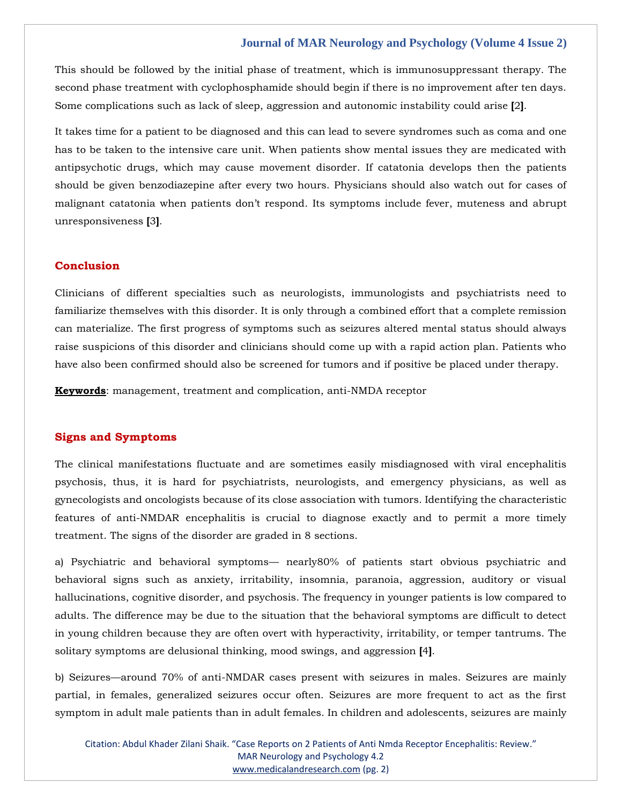This should be followed by the initial phase of treatment, which is immunosuppressant therapy. The second phase treatment with cyclophosphamide should begin if there is no improvement after ten days. Some complications such as lack of sleep, aggression and autonomic instability could arise **[**2**]**.

It takes time for a patient to be diagnosed and this can lead to severe syndromes such as coma and one has to be taken to the intensive care unit. When patients show mental issues they are medicated with antipsychotic drugs, which may cause movement disorder. If catatonia develops then the patients should be given benzodiazepine after every two hours. Physicians should also watch out for cases of malignant catatonia when patients don't respond. Its symptoms include fever, muteness and abrupt unresponsiveness **[**3**]**.

#### **Conclusion**

Clinicians of different specialties such as neurologists, immunologists and psychiatrists need to familiarize themselves with this disorder. It is only through a combined effort that a complete remission can materialize. The first progress of symptoms such as seizures altered mental status should always raise suspicions of this disorder and clinicians should come up with a rapid action plan. Patients who have also been confirmed should also be screened for tumors and if positive be placed under therapy.

**Keywords**: management, treatment and complication, anti-NMDA receptor

#### **Signs and Symptoms**

The clinical manifestations fluctuate and are sometimes easily misdiagnosed with viral encephalitis psychosis, thus, it is hard for psychiatrists, neurologists, and emergency physicians, as well as gynecologists and oncologists because of its close association with tumors. Identifying the characteristic features of anti-NMDAR encephalitis is crucial to diagnose exactly and to permit a more timely treatment. The signs of the disorder are graded in 8 sections.

a) Psychiatric and behavioral symptoms— nearly80% of patients start obvious psychiatric and behavioral signs such as anxiety, irritability, insomnia, paranoia, aggression, auditory or visual hallucinations, cognitive disorder, and psychosis. The frequency in younger patients is low compared to adults. The difference may be due to the situation that the behavioral symptoms are difficult to detect in young children because they are often overt with hyperactivity, irritability, or temper tantrums. The solitary symptoms are delusional thinking, mood swings, and aggression **[**4**]**.

b) Seizures—around 70% of anti-NMDAR cases present with seizures in males. Seizures are mainly partial, in females, generalized seizures occur often. Seizures are more frequent to act as the first symptom in adult male patients than in adult females. In children and adolescents, seizures are mainly

Citation: Abdul Khader Zilani Shaik. "Case Reports on 2 Patients of Anti Nmda Receptor Encephalitis: Review." MAR Neurology and Psychology 4.2 [www.medicalandresearch.com](http://www.medicalandresearch.com/) (pg. 2)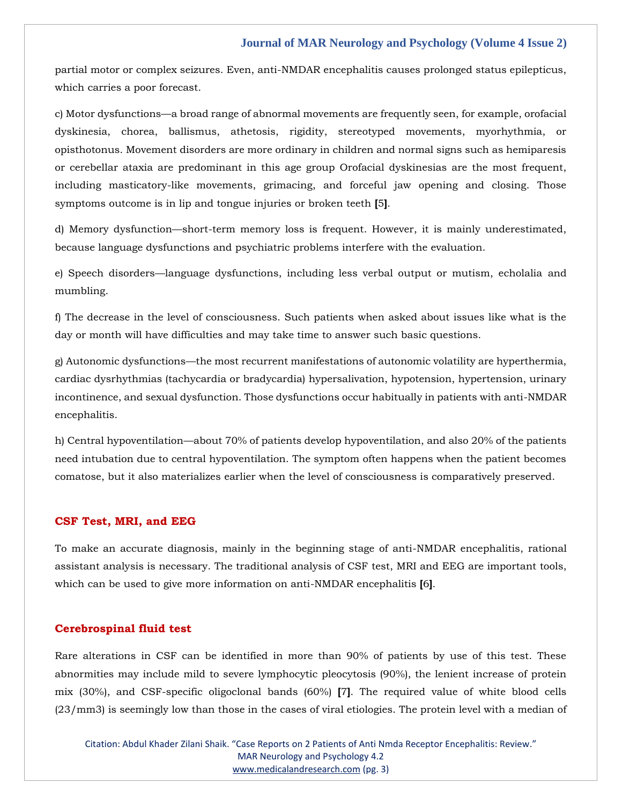partial motor or complex seizures. Even, anti-NMDAR encephalitis causes prolonged status epilepticus, which carries a poor forecast.

c) Motor dysfunctions—a broad range of abnormal movements are frequently seen, for example, orofacial dyskinesia, chorea, ballismus, athetosis, rigidity, stereotyped movements, myorhythmia, or opisthotonus. Movement disorders are more ordinary in children and normal signs such as hemiparesis or cerebellar ataxia are predominant in this age group Orofacial dyskinesias are the most frequent, including masticatory-like movements, grimacing, and forceful jaw opening and closing. Those symptoms outcome is in lip and tongue injuries or broken teeth **[**5**]**.

d) Memory dysfunction—short-term memory loss is frequent. However, it is mainly underestimated, because language dysfunctions and psychiatric problems interfere with the evaluation.

e) Speech disorders—language dysfunctions, including less verbal output or mutism, echolalia and mumbling.

f) The decrease in the level of consciousness. Such patients when asked about issues like what is the day or month will have difficulties and may take time to answer such basic questions.

g) Autonomic dysfunctions—the most recurrent manifestations of autonomic volatility are hyperthermia, cardiac dysrhythmias (tachycardia or bradycardia) hypersalivation, hypotension, hypertension, urinary incontinence, and sexual dysfunction. Those dysfunctions occur habitually in patients with anti-NMDAR encephalitis.

h) Central hypoventilation—about 70% of patients develop hypoventilation, and also 20% of the patients need intubation due to central hypoventilation. The symptom often happens when the patient becomes comatose, but it also materializes earlier when the level of consciousness is comparatively preserved.

#### **CSF Test, MRI, and EEG**

To make an accurate diagnosis, mainly in the beginning stage of anti-NMDAR encephalitis, rational assistant analysis is necessary. The traditional analysis of CSF test, MRI and EEG are important tools, which can be used to give more information on anti-NMDAR encephalitis **[**6**]**.

#### **Cerebrospinal fluid test**

Rare alterations in CSF can be identified in more than 90% of patients by use of this test. These abnormities may include mild to severe lymphocytic pleocytosis (90%), the lenient increase of protein mix (30%), and CSF-specific oligoclonal bands (60%) **[**7**]**. The required value of white blood cells (23/mm3) is seemingly low than those in the cases of viral etiologies. The protein level with a median of

Citation: Abdul Khader Zilani Shaik. "Case Reports on 2 Patients of Anti Nmda Receptor Encephalitis: Review." MAR Neurology and Psychology 4.2 [www.medicalandresearch.com](http://www.medicalandresearch.com/) (pg. 3)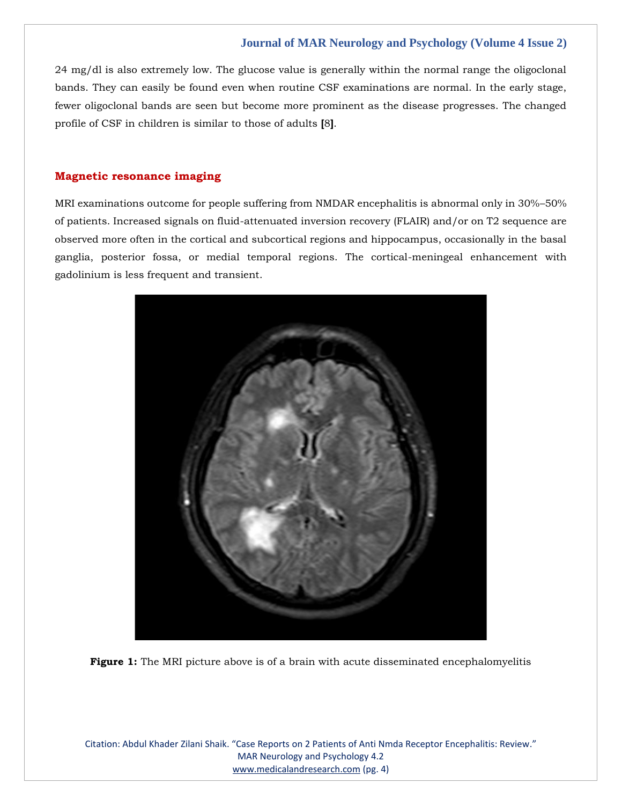24 mg/dl is also extremely low. The glucose value is generally within the normal range the oligoclonal bands. They can easily be found even when routine CSF examinations are normal. In the early stage, fewer oligoclonal bands are seen but become more prominent as the disease progresses. The changed profile of CSF in children is similar to those of adults **[**8**]**.

## **Magnetic resonance imaging**

MRI examinations outcome for people suffering from NMDAR encephalitis is abnormal only in 30%–50% of patients. Increased signals on fluid-attenuated inversion recovery (FLAIR) and/or on T2 sequence are observed more often in the cortical and subcortical regions and hippocampus, occasionally in the basal ganglia, posterior fossa, or medial temporal regions. The cortical-meningeal enhancement with gadolinium is less frequent and transient.



**Figure 1:** The MRI picture above is of a brain with acute disseminated encephalomyelitis

Citation: Abdul Khader Zilani Shaik. "Case Reports on 2 Patients of Anti Nmda Receptor Encephalitis: Review." MAR Neurology and Psychology 4.2 [www.medicalandresearch.com](http://www.medicalandresearch.com/) (pg. 4)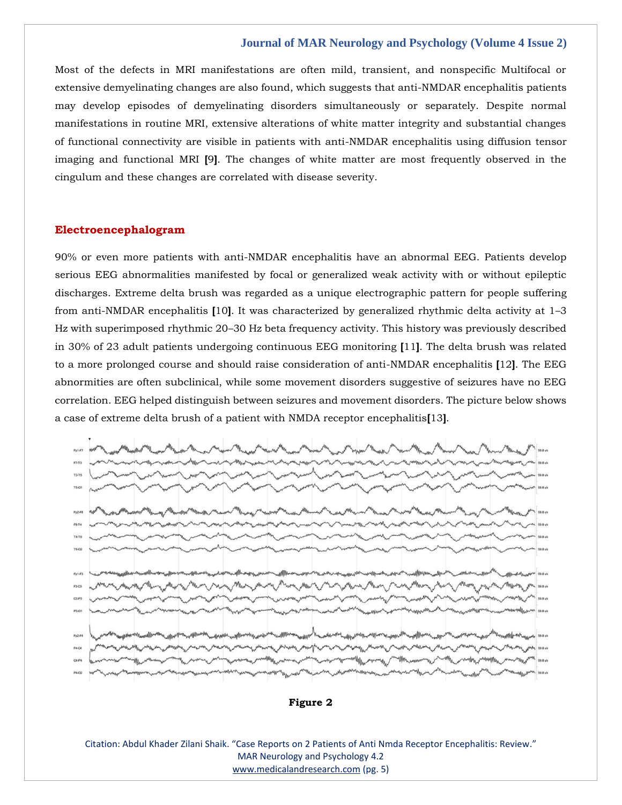Most of the defects in MRI manifestations are often mild, transient, and nonspecific Multifocal or extensive demyelinating changes are also found, which suggests that anti-NMDAR encephalitis patients may develop episodes of demyelinating disorders simultaneously or separately. Despite normal manifestations in routine MRI, extensive alterations of white matter integrity and substantial changes of functional connectivity are visible in patients with anti-NMDAR encephalitis using diffusion tensor imaging and functional MRI **[**9**]**. The changes of white matter are most frequently observed in the cingulum and these changes are correlated with disease severity.

#### **Electroencephalogram**

90% or even more patients with anti-NMDAR encephalitis have an abnormal EEG. Patients develop serious EEG abnormalities manifested by focal or generalized weak activity with or without epileptic discharges. Extreme delta brush was regarded as a unique electrographic pattern for people suffering from anti-NMDAR encephalitis **[**10**]**. It was characterized by generalized rhythmic delta activity at 1–3 Hz with superimposed rhythmic 20–30 Hz beta frequency activity. This history was previously described in 30% of 23 adult patients undergoing continuous EEG monitoring **[**11**]**. The delta brush was related to a more prolonged course and should raise consideration of anti-NMDAR encephalitis **[**12**]**. The EEG abnormities are often subclinical, while some movement disorders suggestive of seizures have no EEG correlation. EEG helped distinguish between seizures and movement disorders. The picture below shows a case of extreme delta brush of a patient with NMDA receptor encephalitis**[**13**]**.



**Figure 2**

Citation: Abdul Khader Zilani Shaik. "Case Reports on 2 Patients of Anti Nmda Receptor Encephalitis: Review." MAR Neurology and Psychology 4.2 [www.medicalandresearch.com](http://www.medicalandresearch.com/) (pg. 5)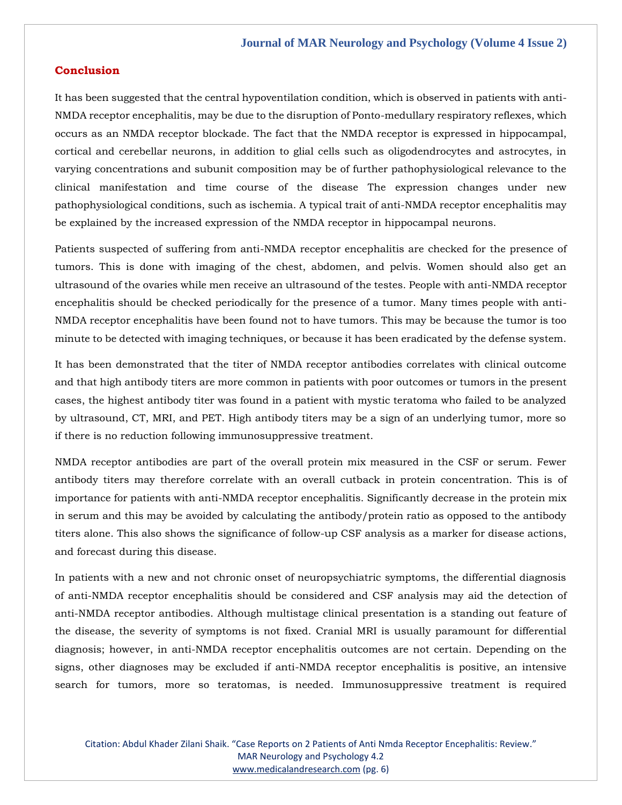## **Conclusion**

It has been suggested that the central hypoventilation condition, which is observed in patients with anti-NMDA receptor encephalitis, may be due to the disruption of Ponto-medullary respiratory reflexes, which occurs as an NMDA receptor blockade. The fact that the NMDA receptor is expressed in hippocampal, cortical and cerebellar neurons, in addition to glial cells such as oligodendrocytes and astrocytes, in varying concentrations and subunit composition may be of further pathophysiological relevance to the clinical manifestation and time course of the disease The expression changes under new pathophysiological conditions, such as ischemia. A typical trait of anti-NMDA receptor encephalitis may be explained by the increased expression of the NMDA receptor in hippocampal neurons.

Patients suspected of suffering from anti-NMDA receptor encephalitis are checked for the presence of tumors. This is done with imaging of the chest, abdomen, and pelvis. Women should also get an ultrasound of the ovaries while men receive an ultrasound of the testes. People with anti-NMDA receptor encephalitis should be checked periodically for the presence of a tumor. Many times people with anti-NMDA receptor encephalitis have been found not to have tumors. This may be because the tumor is too minute to be detected with imaging techniques, or because it has been eradicated by the defense system.

It has been demonstrated that the titer of NMDA receptor antibodies correlates with clinical outcome and that high antibody titers are more common in patients with poor outcomes or tumors in the present cases, the highest antibody titer was found in a patient with mystic teratoma who failed to be analyzed by ultrasound, CT, MRI, and PET. High antibody titers may be a sign of an underlying tumor, more so if there is no reduction following immunosuppressive treatment.

NMDA receptor antibodies are part of the overall protein mix measured in the CSF or serum. Fewer antibody titers may therefore correlate with an overall cutback in protein concentration. This is of importance for patients with anti-NMDA receptor encephalitis. Significantly decrease in the protein mix in serum and this may be avoided by calculating the antibody/protein ratio as opposed to the antibody titers alone. This also shows the significance of follow-up CSF analysis as a marker for disease actions, and forecast during this disease.

In patients with a new and not chronic onset of neuropsychiatric symptoms, the differential diagnosis of anti-NMDA receptor encephalitis should be considered and CSF analysis may aid the detection of anti-NMDA receptor antibodies. Although multistage clinical presentation is a standing out feature of the disease, the severity of symptoms is not fixed. Cranial MRI is usually paramount for differential diagnosis; however, in anti-NMDA receptor encephalitis outcomes are not certain. Depending on the signs, other diagnoses may be excluded if anti-NMDA receptor encephalitis is positive, an intensive search for tumors, more so teratomas, is needed. Immunosuppressive treatment is required

Citation: Abdul Khader Zilani Shaik. "Case Reports on 2 Patients of Anti Nmda Receptor Encephalitis: Review." MAR Neurology and Psychology 4.2 [www.medicalandresearch.com](http://www.medicalandresearch.com/) (pg. 6)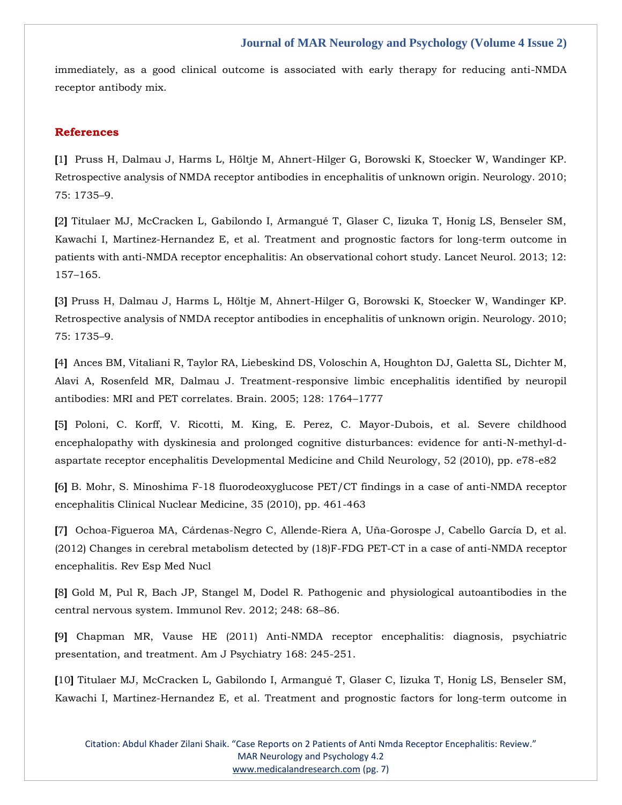immediately, as a good clinical outcome is associated with early therapy for reducing anti-NMDA receptor antibody mix.

#### **References**

**[**1**]** [Pruss H, Dalmau J, Harms L, Höltje M, Ahnert-Hilger G, Borowski K, Stoecker W, Wandinger KP.](https://www.google.com/search?q=Retrospective+analysis+of+NMDA+receptor+antibodies+in+encephalitis+of+unknown+origin&oq=Retrospective+analysis+of+NMDA+receptor+antibodies+in+encephalitis+of+unknown+origin&aqs=chrome..69i57.370j0j7&sourceid=chrome&ie=UTF-8)  [Retrospective analysis of NMDA receptor antibodies in encephalitis of unknown origin. Neurology. 2010;](https://www.google.com/search?q=Retrospective+analysis+of+NMDA+receptor+antibodies+in+encephalitis+of+unknown+origin&oq=Retrospective+analysis+of+NMDA+receptor+antibodies+in+encephalitis+of+unknown+origin&aqs=chrome..69i57.370j0j7&sourceid=chrome&ie=UTF-8)  [75: 1735](https://www.google.com/search?q=Retrospective+analysis+of+NMDA+receptor+antibodies+in+encephalitis+of+unknown+origin&oq=Retrospective+analysis+of+NMDA+receptor+antibodies+in+encephalitis+of+unknown+origin&aqs=chrome..69i57.370j0j7&sourceid=chrome&ie=UTF-8)–9.

**[**2**]** [Titulaer MJ, McCracken L, Gabilondo I, Armangué T, Glaser C, Iizuka T, Honig LS, Benseler SM,](https://www.google.com/search?q=Treatment+and+prognostic+factors+for+long-term+outcome+in+patients+with+anti-NMDA+receptor+encephalitis%3A+An+observational+cohort+study&sxsrf=APq-WBubEmn4xTZObeM-BPWRtbTf9TZF8A%3A1643794167814&ei=9076YdiMMYWhseMPs8-Y-AI&ved=0ahUKEwiY5NK72uD1AhWFUGwGHbMnBi8Q4dUDCA4&uact=5&oq=Treatment+and+prognostic+factors+for+long-term+outcome+in+patients+with+anti-NMDA+receptor+encephalitis%3A+An+observational+cohort+study&gs_lcp=Cgdnd3Mtd2l6EAMyBwgjEOoCECcyBwgjEOoCECcyBwgjEOoCECcyBwgjEOoCECcyBwgjEOoCECcyBwgjEOoCECcyBwgjEOoCECcyBwgjEOoCECcyBwgjEOoCECcyBwgjEOoCECdKBAhBGABKBAhGGABQlwZYlwZg2whoAXAAeACAAQCIAQCSAQCYAQCgAQGgAQKwAQrAAQE&sclient=gws-wiz)  [Kawachi I, Martinez-Hernandez E, et al. Treatment and prognostic factors for long-term outcome in](https://www.google.com/search?q=Treatment+and+prognostic+factors+for+long-term+outcome+in+patients+with+anti-NMDA+receptor+encephalitis%3A+An+observational+cohort+study&sxsrf=APq-WBubEmn4xTZObeM-BPWRtbTf9TZF8A%3A1643794167814&ei=9076YdiMMYWhseMPs8-Y-AI&ved=0ahUKEwiY5NK72uD1AhWFUGwGHbMnBi8Q4dUDCA4&uact=5&oq=Treatment+and+prognostic+factors+for+long-term+outcome+in+patients+with+anti-NMDA+receptor+encephalitis%3A+An+observational+cohort+study&gs_lcp=Cgdnd3Mtd2l6EAMyBwgjEOoCECcyBwgjEOoCECcyBwgjEOoCECcyBwgjEOoCECcyBwgjEOoCECcyBwgjEOoCECcyBwgjEOoCECcyBwgjEOoCECcyBwgjEOoCECcyBwgjEOoCECdKBAhBGABKBAhGGABQlwZYlwZg2whoAXAAeACAAQCIAQCSAQCYAQCgAQGgAQKwAQrAAQE&sclient=gws-wiz)  [patients with anti-NMDA receptor encephalitis: An observational cohort study. Lancet Neurol. 2013; 12:](https://www.google.com/search?q=Treatment+and+prognostic+factors+for+long-term+outcome+in+patients+with+anti-NMDA+receptor+encephalitis%3A+An+observational+cohort+study&sxsrf=APq-WBubEmn4xTZObeM-BPWRtbTf9TZF8A%3A1643794167814&ei=9076YdiMMYWhseMPs8-Y-AI&ved=0ahUKEwiY5NK72uD1AhWFUGwGHbMnBi8Q4dUDCA4&uact=5&oq=Treatment+and+prognostic+factors+for+long-term+outcome+in+patients+with+anti-NMDA+receptor+encephalitis%3A+An+observational+cohort+study&gs_lcp=Cgdnd3Mtd2l6EAMyBwgjEOoCECcyBwgjEOoCECcyBwgjEOoCECcyBwgjEOoCECcyBwgjEOoCECcyBwgjEOoCECcyBwgjEOoCECcyBwgjEOoCECcyBwgjEOoCECcyBwgjEOoCECdKBAhBGABKBAhGGABQlwZYlwZg2whoAXAAeACAAQCIAQCSAQCYAQCgAQGgAQKwAQrAAQE&sclient=gws-wiz)  157–[165.](https://www.google.com/search?q=Treatment+and+prognostic+factors+for+long-term+outcome+in+patients+with+anti-NMDA+receptor+encephalitis%3A+An+observational+cohort+study&sxsrf=APq-WBubEmn4xTZObeM-BPWRtbTf9TZF8A%3A1643794167814&ei=9076YdiMMYWhseMPs8-Y-AI&ved=0ahUKEwiY5NK72uD1AhWFUGwGHbMnBi8Q4dUDCA4&uact=5&oq=Treatment+and+prognostic+factors+for+long-term+outcome+in+patients+with+anti-NMDA+receptor+encephalitis%3A+An+observational+cohort+study&gs_lcp=Cgdnd3Mtd2l6EAMyBwgjEOoCECcyBwgjEOoCECcyBwgjEOoCECcyBwgjEOoCECcyBwgjEOoCECcyBwgjEOoCECcyBwgjEOoCECcyBwgjEOoCECcyBwgjEOoCECcyBwgjEOoCECdKBAhBGABKBAhGGABQlwZYlwZg2whoAXAAeACAAQCIAQCSAQCYAQCgAQGgAQKwAQrAAQE&sclient=gws-wiz)

**[**3**]** [Pruss H, Dalmau J, Harms L, Höltje M, Ahnert-Hilger G, Borowski K, Stoecker W, Wandinger KP.](https://www.google.com/search?q=Retrospective+analysis+of+NMDA+receptor+antibodies+in+encephalitis+of+unknown+origin&sxsrf=APq-WBt0xTsxKVvD_sWqQZ9SAILcz09YbA%3A1643794194664&ei=Ek_6YfndJ-OTseMPoIiv4A4&ved=0ahUKEwj5rrnI2uD1AhXjSWwGHSDEC-wQ4dUDCA4&uact=5&oq=Retrospective+analysis+of+NMDA+receptor+antibodies+in+encephalitis+of+unknown+origin&gs_lcp=Cgdnd3Mtd2l6EAMyBwgjEOoCECcyBwgjEOoCECcyBwgjEOoCECcyBwgjEOoCECcyBwgjEOoCECcyBwgjEOoCECcyBwgjEOoCECcyBwgjEOoCECcyBwgjEOoCECcyBwgjEOoCECdKBAhBGABKBAhGGABQ5wVY5wVg5gdoAXACeACAAQCIAQCSAQCYAQCgAQGgAQKwAQrAAQE&sclient=gws-wiz)  [Retrospective analysis of NMDA receptor antibodies in encephalitis of unknown origin. Neurology. 2010;](https://www.google.com/search?q=Retrospective+analysis+of+NMDA+receptor+antibodies+in+encephalitis+of+unknown+origin&sxsrf=APq-WBt0xTsxKVvD_sWqQZ9SAILcz09YbA%3A1643794194664&ei=Ek_6YfndJ-OTseMPoIiv4A4&ved=0ahUKEwj5rrnI2uD1AhXjSWwGHSDEC-wQ4dUDCA4&uact=5&oq=Retrospective+analysis+of+NMDA+receptor+antibodies+in+encephalitis+of+unknown+origin&gs_lcp=Cgdnd3Mtd2l6EAMyBwgjEOoCECcyBwgjEOoCECcyBwgjEOoCECcyBwgjEOoCECcyBwgjEOoCECcyBwgjEOoCECcyBwgjEOoCECcyBwgjEOoCECcyBwgjEOoCECcyBwgjEOoCECdKBAhBGABKBAhGGABQ5wVY5wVg5gdoAXACeACAAQCIAQCSAQCYAQCgAQGgAQKwAQrAAQE&sclient=gws-wiz)  [75: 1735](https://www.google.com/search?q=Retrospective+analysis+of+NMDA+receptor+antibodies+in+encephalitis+of+unknown+origin&sxsrf=APq-WBt0xTsxKVvD_sWqQZ9SAILcz09YbA%3A1643794194664&ei=Ek_6YfndJ-OTseMPoIiv4A4&ved=0ahUKEwj5rrnI2uD1AhXjSWwGHSDEC-wQ4dUDCA4&uact=5&oq=Retrospective+analysis+of+NMDA+receptor+antibodies+in+encephalitis+of+unknown+origin&gs_lcp=Cgdnd3Mtd2l6EAMyBwgjEOoCECcyBwgjEOoCECcyBwgjEOoCECcyBwgjEOoCECcyBwgjEOoCECcyBwgjEOoCECcyBwgjEOoCECcyBwgjEOoCECcyBwgjEOoCECcyBwgjEOoCECdKBAhBGABKBAhGGABQ5wVY5wVg5gdoAXACeACAAQCIAQCSAQCYAQCgAQGgAQKwAQrAAQE&sclient=gws-wiz)–9.

**[**4**]** [Ances BM, Vitaliani R, Taylor RA, Liebeskind DS, Voloschin A, Houghton DJ, Galetta SL, Dichter M,](https://www.google.com/search?q=Treatment-responsive+limbic+encephalitis+identified+by+neuropil+antibodies%3A+MRI+and+PET+correlates&sxsrf=APq-WBubEmn4xTZObeM-BPWRtbTf9TZF8A%3A1643794167814&ei=9076YdiMMYWhseMPs8-Y-AI&ved=0ahUKEwiY5NK72uD1AhWFUGwGHbMnBi8Q4dUDCA4&uact=5&oq=Treatment-responsive+limbic+encephalitis+identified+by+neuropil+antibodies%3A+MRI+and+PET+correlates&gs_lcp=Cgdnd3Mtd2l6EAMyBAgAEB46BwgjEOoCECdKBAhBGABKBAhGGABQwwVYwwVg7wdoAXAAeACAAdwBiAHcAZIBAzItMZgBAKABAaABArABCsABAQ&sclient=gws-wiz)  [Alavi A, Rosenfeld MR, Dalmau J. Treatment-responsive limbic encephalitis identified by neuropil](https://www.google.com/search?q=Treatment-responsive+limbic+encephalitis+identified+by+neuropil+antibodies%3A+MRI+and+PET+correlates&sxsrf=APq-WBubEmn4xTZObeM-BPWRtbTf9TZF8A%3A1643794167814&ei=9076YdiMMYWhseMPs8-Y-AI&ved=0ahUKEwiY5NK72uD1AhWFUGwGHbMnBi8Q4dUDCA4&uact=5&oq=Treatment-responsive+limbic+encephalitis+identified+by+neuropil+antibodies%3A+MRI+and+PET+correlates&gs_lcp=Cgdnd3Mtd2l6EAMyBAgAEB46BwgjEOoCECdKBAhBGABKBAhGGABQwwVYwwVg7wdoAXAAeACAAdwBiAHcAZIBAzItMZgBAKABAaABArABCsABAQ&sclient=gws-wiz)  [antibodies: MRI and PET correlates. Brain. 2005; 128: 1764](https://www.google.com/search?q=Treatment-responsive+limbic+encephalitis+identified+by+neuropil+antibodies%3A+MRI+and+PET+correlates&sxsrf=APq-WBubEmn4xTZObeM-BPWRtbTf9TZF8A%3A1643794167814&ei=9076YdiMMYWhseMPs8-Y-AI&ved=0ahUKEwiY5NK72uD1AhWFUGwGHbMnBi8Q4dUDCA4&uact=5&oq=Treatment-responsive+limbic+encephalitis+identified+by+neuropil+antibodies%3A+MRI+and+PET+correlates&gs_lcp=Cgdnd3Mtd2l6EAMyBAgAEB46BwgjEOoCECdKBAhBGABKBAhGGABQwwVYwwVg7wdoAXAAeACAAdwBiAHcAZIBAzItMZgBAKABAaABArABCsABAQ&sclient=gws-wiz)–1777

**[**5**]** [Poloni, C. Korff, V. Ricotti, M. King, E. Perez, C. Mayor-Dubois, et al. Severe childhood](https://www.google.com/search?q=Severe+childhood+encephalopathy+with+dyskinesia+and+prolonged+cognitive+disturbances%3A+evidence+for+anti-N-methyl-d-aspartate+receptor+encephalitis+Developmental+Medicine+and+Child+Neurology&sxsrf=APq-WBt2mecbxi3G5JuVUa_pdpcFZegjZw%3A1643794232983&ei=OE_6YdCoO7GhseMP3ten2AI&ved=0ahUKEwjQpNza2uD1AhWxUGwGHd7rCSsQ4dUDCA4&uact=5&oq=Severe+childhood+encephalopathy+with+dyskinesia+and+prolonged+cognitive+disturbances%3A+evidence+for+anti-N-methyl-d-aspartate+receptor+encephalitis+Developmental+Medicine+and+Child+Neurology&gs_lcp=Cgdnd3Mtd2l6EAMyBwgjEOoCECcyBwgjEOoCECcyBwgjEOoCECcyBwgjEOoCECcyBwgjEOoCECcyBwgjEOoCECcyBwgjEOoCECcyBwgjEOoCECcyBwgjEOoCECcyBwgjEOoCECdKBAhBGABKBAhGGABQsQVYsQVg4AdoAXAAeACAAQCIAQCSAQCYAQCgAQGgAQKwAQrAAQE&sclient=gws-wiz)  [encephalopathy with dyskinesia and prolonged cognitive disturbances: evidence for anti-N-methyl-d](https://www.google.com/search?q=Severe+childhood+encephalopathy+with+dyskinesia+and+prolonged+cognitive+disturbances%3A+evidence+for+anti-N-methyl-d-aspartate+receptor+encephalitis+Developmental+Medicine+and+Child+Neurology&sxsrf=APq-WBt2mecbxi3G5JuVUa_pdpcFZegjZw%3A1643794232983&ei=OE_6YdCoO7GhseMP3ten2AI&ved=0ahUKEwjQpNza2uD1AhWxUGwGHd7rCSsQ4dUDCA4&uact=5&oq=Severe+childhood+encephalopathy+with+dyskinesia+and+prolonged+cognitive+disturbances%3A+evidence+for+anti-N-methyl-d-aspartate+receptor+encephalitis+Developmental+Medicine+and+Child+Neurology&gs_lcp=Cgdnd3Mtd2l6EAMyBwgjEOoCECcyBwgjEOoCECcyBwgjEOoCECcyBwgjEOoCECcyBwgjEOoCECcyBwgjEOoCECcyBwgjEOoCECcyBwgjEOoCECcyBwgjEOoCECcyBwgjEOoCECdKBAhBGABKBAhGGABQsQVYsQVg4AdoAXAAeACAAQCIAQCSAQCYAQCgAQGgAQKwAQrAAQE&sclient=gws-wiz)[aspartate receptor encephalitis Developmental Medicine and Child Neurology, 52 \(2010\), pp. e78-e82](https://www.google.com/search?q=Severe+childhood+encephalopathy+with+dyskinesia+and+prolonged+cognitive+disturbances%3A+evidence+for+anti-N-methyl-d-aspartate+receptor+encephalitis+Developmental+Medicine+and+Child+Neurology&sxsrf=APq-WBt2mecbxi3G5JuVUa_pdpcFZegjZw%3A1643794232983&ei=OE_6YdCoO7GhseMP3ten2AI&ved=0ahUKEwjQpNza2uD1AhWxUGwGHd7rCSsQ4dUDCA4&uact=5&oq=Severe+childhood+encephalopathy+with+dyskinesia+and+prolonged+cognitive+disturbances%3A+evidence+for+anti-N-methyl-d-aspartate+receptor+encephalitis+Developmental+Medicine+and+Child+Neurology&gs_lcp=Cgdnd3Mtd2l6EAMyBwgjEOoCECcyBwgjEOoCECcyBwgjEOoCECcyBwgjEOoCECcyBwgjEOoCECcyBwgjEOoCECcyBwgjEOoCECcyBwgjEOoCECcyBwgjEOoCECcyBwgjEOoCECdKBAhBGABKBAhGGABQsQVYsQVg4AdoAXAAeACAAQCIAQCSAQCYAQCgAQGgAQKwAQrAAQE&sclient=gws-wiz)

**[**6**]** [B. Mohr, S. Minoshima F-18 fluorodeoxyglucose PET/CT findings in a case of anti-NMDA receptor](https://www.google.com/search?q=Minoshima+F-18+fluorodeoxyglucose+PET%2FCT+findings+in+a+case+of+anti-NMDA+receptor+encephalitis+Clinical+Nuclear+Medicine&sxsrf=APq-WBut-qNh_5dez9sY7t-DVeJwsudqBg%3A1643794265259&ei=WU_6YZaYD4qTseMPw-2R2A4&ved=0ahUKEwjWqI7q2uD1AhWKSWwGHcN2BOsQ4dUDCA4&uact=5&oq=Minoshima+F-18+fluorodeoxyglucose+PET%2FCT+findings+in+a+case+of+anti-NMDA+receptor+encephalitis+Clinical+Nuclear+Medicine&gs_lcp=Cgdnd3Mtd2l6EAMyBwgjEOoCECcyBwgjEOoCECcyBwgjEOoCECcyBwgjEOoCECcyBwgjEOoCECcyBwgjEOoCECcyBwgjEOoCECcyBwgjEOoCECcyBwgjEOoCECcyBwgjEOoCECdKBAhBGABKBAhGGABQ9gRY9gRguwdoAXAAeACAAQCIAQCSAQCYAQCgAQGgAQKwAQrAAQE&sclient=gws-wiz)  [encephalitis Clinical Nuclear Medicine, 35 \(2010\), pp. 461-463](https://www.google.com/search?q=Minoshima+F-18+fluorodeoxyglucose+PET%2FCT+findings+in+a+case+of+anti-NMDA+receptor+encephalitis+Clinical+Nuclear+Medicine&sxsrf=APq-WBut-qNh_5dez9sY7t-DVeJwsudqBg%3A1643794265259&ei=WU_6YZaYD4qTseMPw-2R2A4&ved=0ahUKEwjWqI7q2uD1AhWKSWwGHcN2BOsQ4dUDCA4&uact=5&oq=Minoshima+F-18+fluorodeoxyglucose+PET%2FCT+findings+in+a+case+of+anti-NMDA+receptor+encephalitis+Clinical+Nuclear+Medicine&gs_lcp=Cgdnd3Mtd2l6EAMyBwgjEOoCECcyBwgjEOoCECcyBwgjEOoCECcyBwgjEOoCECcyBwgjEOoCECcyBwgjEOoCECcyBwgjEOoCECcyBwgjEOoCECcyBwgjEOoCECcyBwgjEOoCECdKBAhBGABKBAhGGABQ9gRY9gRguwdoAXAAeACAAQCIAQCSAQCYAQCgAQGgAQKwAQrAAQE&sclient=gws-wiz)

**[**7**]** [Ochoa-Figueroa MA, Cárdenas-Negro C, Allende-Riera A, Uña-Gorospe J, Cabello García D, et al.](https://www.google.com/search?q=%282012%29+Changes+in+cerebral+metabolism+detected+by+%2818%29F-FDG+PET-CT+in+a+case+of+anti-NMDA+receptor+encephalitis&sxsrf=APq-WBuZbbMoNYZieZUk1m1k2hU3r3Egpg%3A1643794286183&ei=bk_6Yb25CoqcseMP8s-niAo&ved=0ahUKEwi9qIv02uD1AhUKTmwGHfLnCaEQ4dUDCA4&uact=5&oq=%282012%29+Changes+in+cerebral+metabolism+detected+by+%2818%29F-FDG+PET-CT+in+a+case+of+anti-NMDA+receptor+encephalitis&gs_lcp=Cgdnd3Mtd2l6EAMyBwgjEOoCECcyBwgjEOoCECcyBwgjEOoCECcyBwgjEOoCECcyBwgjEOoCECcyBwgjEOoCECcyBwgjEOoCECcyBwgjEOoCECcyBwgjEOoCECcyBwgjEOoCECdKBAhBGABKBAhGGABQigVYigVgjgdoAXAAeACAAQCIAQCSAQCYAQCgAQGgAQKwAQrAAQE&sclient=gws-wiz)  [\(2012\) Changes in cerebral metabolism detected by \(18\)F-FDG PET-CT in a case of anti-NMDA receptor](https://www.google.com/search?q=%282012%29+Changes+in+cerebral+metabolism+detected+by+%2818%29F-FDG+PET-CT+in+a+case+of+anti-NMDA+receptor+encephalitis&sxsrf=APq-WBuZbbMoNYZieZUk1m1k2hU3r3Egpg%3A1643794286183&ei=bk_6Yb25CoqcseMP8s-niAo&ved=0ahUKEwi9qIv02uD1AhUKTmwGHfLnCaEQ4dUDCA4&uact=5&oq=%282012%29+Changes+in+cerebral+metabolism+detected+by+%2818%29F-FDG+PET-CT+in+a+case+of+anti-NMDA+receptor+encephalitis&gs_lcp=Cgdnd3Mtd2l6EAMyBwgjEOoCECcyBwgjEOoCECcyBwgjEOoCECcyBwgjEOoCECcyBwgjEOoCECcyBwgjEOoCECcyBwgjEOoCECcyBwgjEOoCECcyBwgjEOoCECcyBwgjEOoCECdKBAhBGABKBAhGGABQigVYigVgjgdoAXAAeACAAQCIAQCSAQCYAQCgAQGgAQKwAQrAAQE&sclient=gws-wiz)  [encephalitis. Rev Esp Med Nucl](https://www.google.com/search?q=%282012%29+Changes+in+cerebral+metabolism+detected+by+%2818%29F-FDG+PET-CT+in+a+case+of+anti-NMDA+receptor+encephalitis&sxsrf=APq-WBuZbbMoNYZieZUk1m1k2hU3r3Egpg%3A1643794286183&ei=bk_6Yb25CoqcseMP8s-niAo&ved=0ahUKEwi9qIv02uD1AhUKTmwGHfLnCaEQ4dUDCA4&uact=5&oq=%282012%29+Changes+in+cerebral+metabolism+detected+by+%2818%29F-FDG+PET-CT+in+a+case+of+anti-NMDA+receptor+encephalitis&gs_lcp=Cgdnd3Mtd2l6EAMyBwgjEOoCECcyBwgjEOoCECcyBwgjEOoCECcyBwgjEOoCECcyBwgjEOoCECcyBwgjEOoCECcyBwgjEOoCECcyBwgjEOoCECcyBwgjEOoCECcyBwgjEOoCECdKBAhBGABKBAhGGABQigVYigVgjgdoAXAAeACAAQCIAQCSAQCYAQCgAQGgAQKwAQrAAQE&sclient=gws-wiz)

**[**8**]** [Gold M, Pul R, Bach JP, Stangel M, Dodel R. Pathogenic and physiological autoantibodies in the](https://www.google.com/search?q=Pathogenic+and+physiological+autoantibodies+in+the+central+nervous+system&sxsrf=APq-WBvoxqLA6jozVuj7LxxEC48XcyQXwg%3A1643794307277&ei=g0_6YefND8SfseMPwMiGgAs&ved=0ahUKEwinm5L-2uD1AhXET2wGHUCkAbAQ4dUDCA4&uact=5&oq=Pathogenic+and+physiological+autoantibodies+in+the+central+nervous+system&gs_lcp=Cgdnd3Mtd2l6EAM6BwgjEOoCECdKBAhBGABKBAhGGABQmwdYmwdgoQloAXACeACAAdsBiAHbAZIBAzItMZgBAKABAaABArABCsABAQ&sclient=gws-wiz)  [central nervous system. Immunol Rev. 2012; 248: 68](https://www.google.com/search?q=Pathogenic+and+physiological+autoantibodies+in+the+central+nervous+system&sxsrf=APq-WBvoxqLA6jozVuj7LxxEC48XcyQXwg%3A1643794307277&ei=g0_6YefND8SfseMPwMiGgAs&ved=0ahUKEwinm5L-2uD1AhXET2wGHUCkAbAQ4dUDCA4&uact=5&oq=Pathogenic+and+physiological+autoantibodies+in+the+central+nervous+system&gs_lcp=Cgdnd3Mtd2l6EAM6BwgjEOoCECdKBAhBGABKBAhGGABQmwdYmwdgoQloAXACeACAAdsBiAHbAZIBAzItMZgBAKABAaABArABCsABAQ&sclient=gws-wiz)–86.

**[**9**]** [Chapman MR, Vause HE \(2011\) Anti-NMDA receptor encephalitis: diagnosis, psychiatric](https://www.google.com/search?q=Anti-NMDA+receptor+encephalitis%3A+diagnosis%2C+psychiatric+presentation%2C+and+treatment&sxsrf=APq-WBuhERit3kFdKU8fgmhOjJoJxogozA%3A1643794327960&ei=l0_6Ycb0Ob6RseMPzZaJgA4&ved=0ahUKEwiGnIGI2-D1AhW-SGwGHU1LAuAQ4dUDCA4&uact=5&oq=Anti-NMDA+receptor+encephalitis%3A+diagnosis%2C+psychiatric+presentation%2C+and+treatment&gs_lcp=Cgdnd3Mtd2l6EAMyBQgAEIAEOgcIIxDqAhAnSgQIQRgASgQIRhgAUO4FWO4FYPEHaAFwAHgAgAHbAYgB2wGSAQMyLTGYAQCgAQGgAQKwAQrAAQE&sclient=gws-wiz)  [presentation, and treatment. Am J Psychiatry 168: 245-251.](https://www.google.com/search?q=Anti-NMDA+receptor+encephalitis%3A+diagnosis%2C+psychiatric+presentation%2C+and+treatment&sxsrf=APq-WBuhERit3kFdKU8fgmhOjJoJxogozA%3A1643794327960&ei=l0_6Ycb0Ob6RseMPzZaJgA4&ved=0ahUKEwiGnIGI2-D1AhW-SGwGHU1LAuAQ4dUDCA4&uact=5&oq=Anti-NMDA+receptor+encephalitis%3A+diagnosis%2C+psychiatric+presentation%2C+and+treatment&gs_lcp=Cgdnd3Mtd2l6EAMyBQgAEIAEOgcIIxDqAhAnSgQIQRgASgQIRhgAUO4FWO4FYPEHaAFwAHgAgAHbAYgB2wGSAQMyLTGYAQCgAQGgAQKwAQrAAQE&sclient=gws-wiz)

**[**10**]** [Titulaer MJ, McCracken L, Gabilondo I, Armangué T, Glaser C, Iizuka T, Honig LS, Benseler SM,](https://www.google.com/search?q=Treatment+and+prognostic+factors+for+long-term+outcome+in+patients+with+anti-NMDA+receptor+encephalitis%3A+An+observational+cohort+study&sxsrf=APq-WBuUU8eHsmeTnpBBX0U0OhO4Q7NFng%3A1643794347867&ei=q0_6YbCoNJ2VseMP3valmAU&ved=0ahUKEwjwqcCR2-D1AhWdSmwGHV57CVMQ4dUDCA4&uact=5&oq=Treatment+and+prognostic+factors+for+long-term+outcome+in+patients+with+anti-NMDA+receptor+encephalitis%3A+An+observational+cohort+study&gs_lcp=Cgdnd3Mtd2l6EAMyBwgjEOoCECcyBwgjEOoCECcyBwgjEOoCECcyBwgjEOoCECcyBwgjEOoCECcyBwgjEOoCECcyBwgjEOoCECcyBwgjEOoCECcyBwgjEOoCECcyBwgjEOoCECdKBAhBGABKBAhGGABQ0AVY0AVggghoAXACeACAAQCIAQCSAQCYAQCgAQGgAQKwAQrAAQE&sclient=gws-wiz)  [Kawachi I, Martinez-Hernandez E, et al. Treatment and prognostic factors for long-term outcome in](https://www.google.com/search?q=Treatment+and+prognostic+factors+for+long-term+outcome+in+patients+with+anti-NMDA+receptor+encephalitis%3A+An+observational+cohort+study&sxsrf=APq-WBuUU8eHsmeTnpBBX0U0OhO4Q7NFng%3A1643794347867&ei=q0_6YbCoNJ2VseMP3valmAU&ved=0ahUKEwjwqcCR2-D1AhWdSmwGHV57CVMQ4dUDCA4&uact=5&oq=Treatment+and+prognostic+factors+for+long-term+outcome+in+patients+with+anti-NMDA+receptor+encephalitis%3A+An+observational+cohort+study&gs_lcp=Cgdnd3Mtd2l6EAMyBwgjEOoCECcyBwgjEOoCECcyBwgjEOoCECcyBwgjEOoCECcyBwgjEOoCECcyBwgjEOoCECcyBwgjEOoCECcyBwgjEOoCECcyBwgjEOoCECcyBwgjEOoCECdKBAhBGABKBAhGGABQ0AVY0AVggghoAXACeACAAQCIAQCSAQCYAQCgAQGgAQKwAQrAAQE&sclient=gws-wiz)